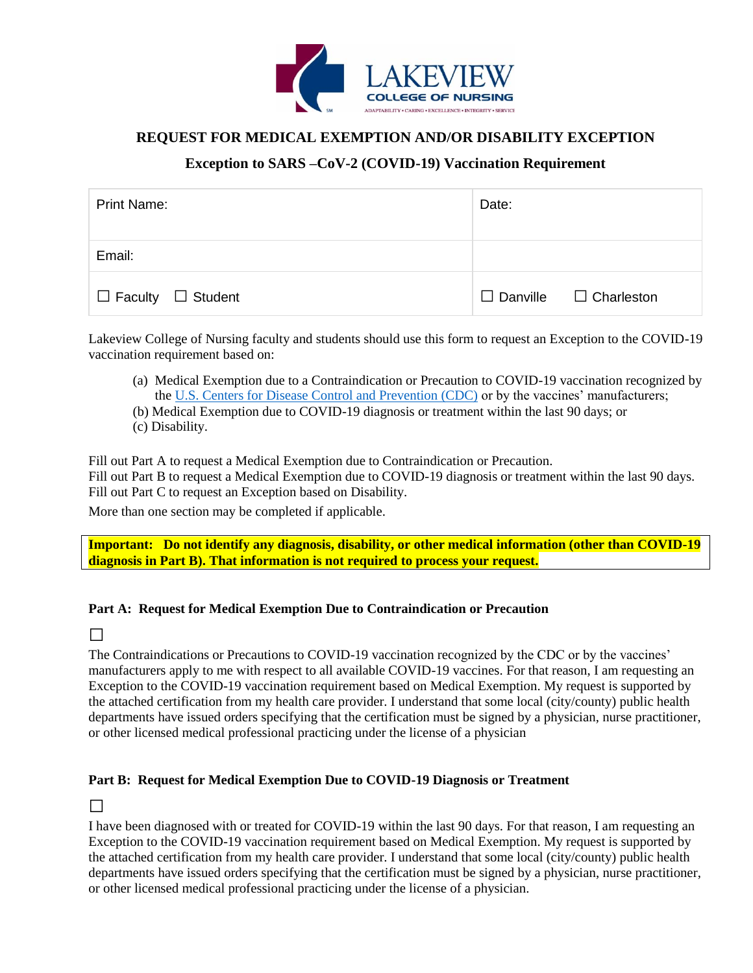

## **REQUEST FOR MEDICAL EXEMPTION AND/OR DISABILITY EXCEPTION**

## **Exception to SARS –CoV-2 (COVID-19) Vaccination Requirement**

| <b>Print Name:</b>            | Date:                             |
|-------------------------------|-----------------------------------|
| Email:                        |                                   |
| $\Box$ Faculty $\Box$ Student | $\Box$ Danville $\Box$ Charleston |

Lakeview College of Nursing faculty and students should use this form to request an Exception to the COVID-19 vaccination requirement based on:

- (a) Medical Exemption due to a Contraindication or Precaution to COVID-19 vaccination recognized by the [U.S. Centers for Disease Control and Prevention \(CDC\)](https://www.cdc.gov/vaccines/covid-19/clinical-considerations/covid-19-vaccines-us.html#Contraindications) or by the vaccines' manufacturers;
- (b) Medical Exemption due to COVID-19 diagnosis or treatment within the last 90 days; or
- (c) Disability.

Fill out Part A to request a Medical Exemption due to Contraindication or Precaution.

Fill out Part B to request a Medical Exemption due to COVID-19 diagnosis or treatment within the last 90 days. Fill out Part C to request an Exception based on Disability.

More than one section may be completed if applicable.

**Important: Do not identify any diagnosis, disability, or other medical information (other than COVID-19 diagnosis in Part B). That information is not required to process your request.**

### **Part A: Request for Medical Exemption Due to Contraindication or Precaution**

□

The Contraindications or Precautions to COVID-19 vaccination recognized by the CDC or by the vaccines' manufacturers apply to me with respect to all available COVID-19 vaccines. For that reason, I am requesting an Exception to the COVID-19 vaccination requirement based on Medical Exemption. My request is supported by the attached certification from my health care provider. I understand that some local (city/county) public health departments have issued orders specifying that the certification must be signed by a physician, nurse practitioner, or other licensed medical professional practicing under the license of a physician

### **Part B: Request for Medical Exemption Due to COVID-19 Diagnosis or Treatment**

□

I have been diagnosed with or treated for COVID-19 within the last 90 days. For that reason, I am requesting an Exception to the COVID-19 vaccination requirement based on Medical Exemption. My request is supported by the attached certification from my health care provider. I understand that some local (city/county) public health departments have issued orders specifying that the certification must be signed by a physician, nurse practitioner, or other licensed medical professional practicing under the license of a physician.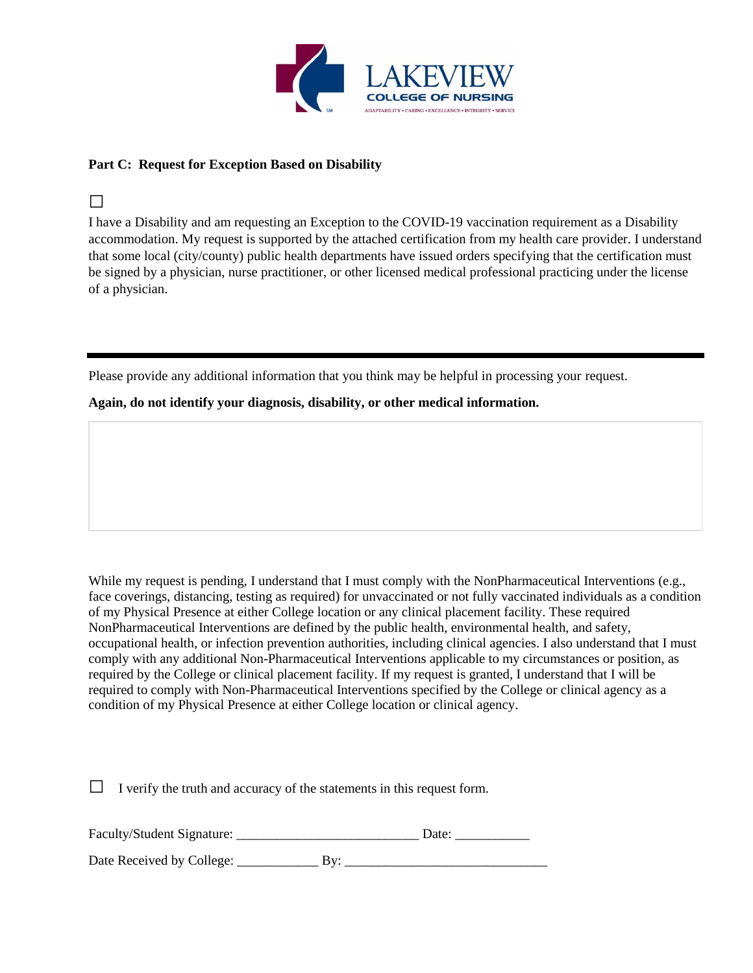

### **Part C: Request for Exception Based on Disability**

## □

I have a Disability and am requesting an Exception to the COVID-19 vaccination requirement as a Disability accommodation. My request is supported by the attached certification from my health care provider. I understand that some local (city/county) public health departments have issued orders specifying that the certification must be signed by a physician, nurse practitioner, or other licensed medical professional practicing under the license of a physician.

Please provide any additional information that you think may be helpful in processing your request.

**Again, do not identify your diagnosis, disability, or other medical information.**

While my request is pending, I understand that I must comply with the NonPharmaceutical Interventions (e.g., face coverings, distancing, testing as required) for unvaccinated or not fully vaccinated individuals as a condition of my Physical Presence at either College location or any clinical placement facility. These required NonPharmaceutical Interventions are defined by the public health, environmental health, and safety, occupational health, or infection prevention authorities, including clinical agencies. I also understand that I must comply with any additional Non-Pharmaceutical Interventions applicable to my circumstances or position, as required by the College or clinical placement facility. If my request is granted, I understand that I will be required to comply with Non-Pharmaceutical Interventions specified by the College or clinical agency as a condition of my Physical Presence at either College location or clinical agency.

 $\Box$  I verify the truth and accuracy of the statements in this request form.

Faculty/Student Signature: \_\_\_\_\_\_\_\_\_\_\_\_\_\_\_\_\_\_\_\_\_\_\_\_\_\_\_ Date: \_\_\_\_\_\_\_\_\_\_\_

Date Received by College: \_\_\_\_\_\_\_\_\_\_\_\_ By: \_\_\_\_\_\_\_\_\_\_\_\_\_\_\_\_\_\_\_\_\_\_\_\_\_\_\_\_\_\_